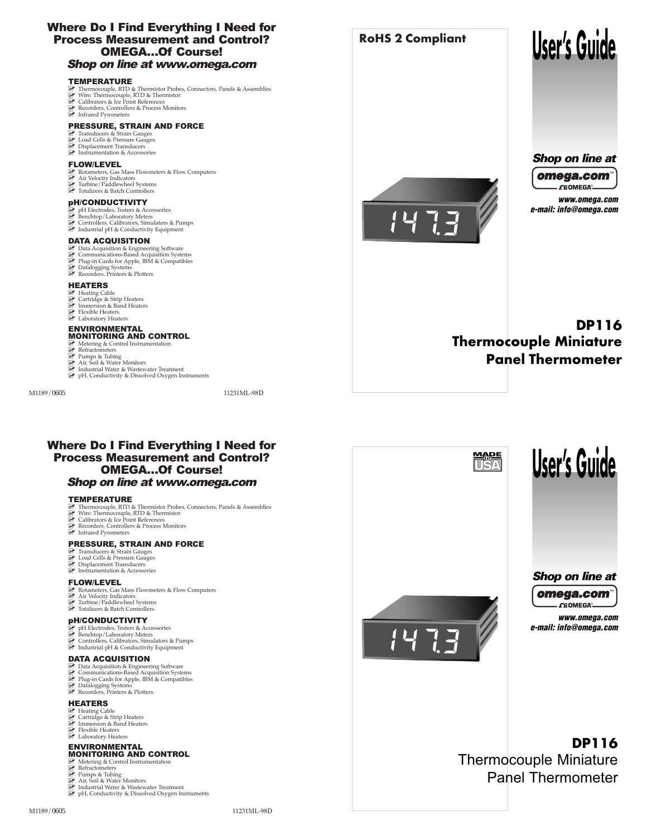### Where Do I Find Everything I Need for Process Measurement and Control? OMEGA…Of Course! Shop on line at www.omega.com

#### **TEMPERATURE**

- **Z** Thermocouple, RTD & Thermistor Probes, Connectors, Panels & Assemblies
- Wire: Thermocouple, RTD & Thermistor
- **E** Calibrators & Ice Point References
- Recorders, Controllers & Process Monitors
- Infrared Pyrometers

#### PRESSURE, STRAIN AND FORCE

- **2** Transducers & Strain Gauges
- **E** Load Cells & Pressure Gauges
- **2** Displacement Transducers
- **E** Instrumentation & Accessories

#### FLOW/LEVEL

- **Z** Rotameters, Gas Mass Flowmeters & Flow Computers
- Air Velocity Indicators
- Turbine/Paddlewheel Systems
- **2** Totalizers & Batch Controllers

#### pH/CONDUCTIVITY

- P pH Electrodes, Testers & Accessories
- Benchtop/Laboratory Meters
- Controllers, Calibrators, Simulators & Pumps
- Industrial pH & Conductivity Equipment

#### DATA ACQUISITION

- **Z** Data Acquisition & Engineering Software
- **Z** Communications-Based Acquisition Systems
- Plug-in Cards for Apple, IBM & Compatibles
- **Z** Datalogging Systems
- Recorders, Printers & Plotters

#### **HEATERS**

- **P** Heating Cable
- **Z** Cartridge & Strip Heaters
- **E** Immersion & Band Heaters
- **E** Flexible Heaters
- **E** Laboratory Heaters

#### ENVIRONMENTAL MONITORING AND CONTROL

- Metering & Control Instrumentation
- **Z** Refractometers
- Pumps & Tubing
- Air, Soil & Water Monitors
- Industrial Water & Wastewater Treatment
- **P** pH, Conductivity & Dissolved Oxygen Instruments



**RoHS 2 Compliant**



# *Shop on line at*



*www.omega.com e-mail: info@omega.com*

# **DP116 Thermocouple Miniature Panel Thermometer**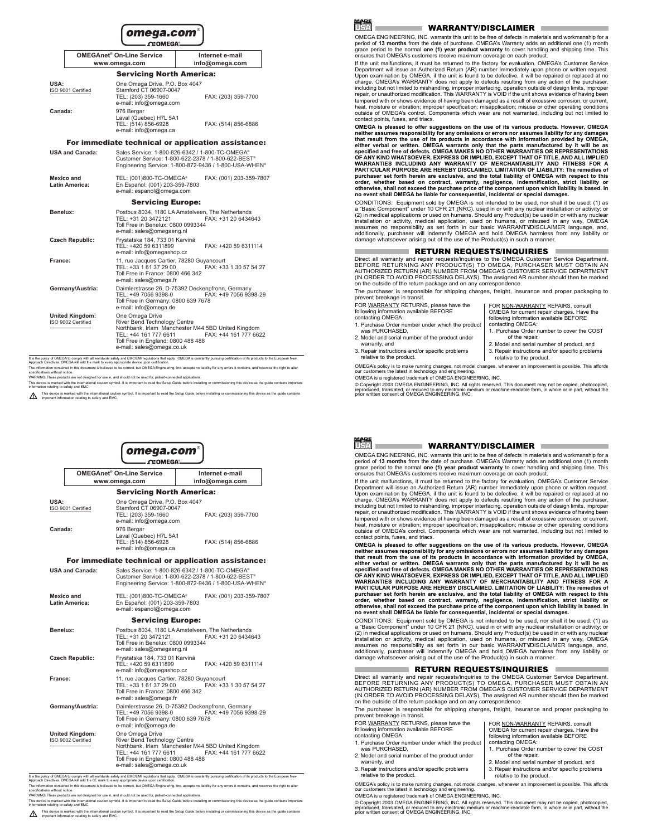|                                              |                        | omega.com®<br><b>CEOMEGA</b> .                                                                                                              |                                                                                                                                                                |
|----------------------------------------------|------------------------|---------------------------------------------------------------------------------------------------------------------------------------------|----------------------------------------------------------------------------------------------------------------------------------------------------------------|
|                                              |                        | OMEGAnet <sup>®</sup> On-Line Service                                                                                                       | Internet e-mail                                                                                                                                                |
|                                              |                        | www.omega.com                                                                                                                               | info@omega.com                                                                                                                                                 |
|                                              |                        | <b>Servicing North America:</b>                                                                                                             |                                                                                                                                                                |
| USA:                                         | ISO 9001 Certified     | One Omega Drive, P.O. Box 4047<br>Stamford CT 06907-0047<br>TEL: (203) 359-1660<br>e-mail: info@omega.com                                   | FAX: (203) 359-7700                                                                                                                                            |
| Canada <sup>.</sup>                          |                        | 976 Bergar<br>Laval (Quebec) H7L 5A1<br>TEL: (514) 856-6928<br>e-mail: info@omega.ca                                                        | FAX: (514) 856-6886                                                                                                                                            |
|                                              |                        |                                                                                                                                             | For immediate technical or application assistance:                                                                                                             |
|                                              | <b>USA and Canada:</b> |                                                                                                                                             | Sales Service: 1-800-826-6342 / 1-800-TC-OMEGA®<br>Customer Service: 1-800-622-2378 / 1-800-622-BEST®<br>Engineering Service: 1-800-872-9436 / 1-800-USA-WHEN® |
| Mexico and                                   | <b>Latin America:</b>  | TEL: (001)800-TC-OMEGA®<br>En Español: (001) 203-359-7803<br>e-mail: espanol@omega.com                                                      | FAX: (001) 203-359-7807                                                                                                                                        |
|                                              |                        | <b>Servicing Europe:</b>                                                                                                                    |                                                                                                                                                                |
| Benelux:                                     |                        | TEL: +31 20 3472121<br>Toll Free in Benelux: 0800 0993344<br>e-mail: sales@omegaeng.nl                                                      | Postbus 8034, 1180 LA Amstelveen. The Netherlands<br>FAX: +31 20 6434643                                                                                       |
| <b>Czech Republic:</b>                       |                        | Frystatska 184, 733 01 Karviná<br>TEL: +420 59 6311899<br>e-mail: info@omegashop.cz                                                         | FAX: +420 59 6311114                                                                                                                                           |
| France:                                      |                        | 11, rue Jacques Cartier, 78280 Guyancourt<br>TEL: +33 1 61 37 29 00<br>Toll Free in France: 0800 466 342<br>e-mail: sales@omega.fr          | FAX: +33 1 30 57 54 27                                                                                                                                         |
|                                              | Germany/Austria:       | TEL: +49 7056 9398-0<br>Toll Free in Germany: 0800 639 7678<br>e-mail: info@omega.de                                                        | Daimlerstrasse 26, D-75392 Deckenpfronn, Germany<br>FAX: +49 7056 9398-29                                                                                      |
| <b>United Kingdom:</b><br>ISO 9002 Certified |                        | One Omega Drive<br>River Bend Technology Centre<br>TEL: +44 161 777 6611<br>Toll Free in England: 0800 488 488<br>e-mail: sales@omega.co.uk | Northbank, Irlam Manchester M44 5BD United Kingdom<br>FAX: +44 161 777 6622                                                                                    |

It is the policy of OMEGA to comply with all worldwide safety and EMC/EMI regulations that apply. OMEGA is constantly pursuing certification of its products to the European New Approach Directives. OMEGA will add the mark to every appropriate device upon certification.

The information contained in this document is believed to be correct, but OMEGA Engineering, Inc. accepts no liability for any errors it contains, and reserves the right to alter specifications without notice.

WARNING: These products are not designed for use in, and should not be used for, patient-connected applications.

This device is marked with the international caution symbol. It is important to read the Setup Guide before installing or commissioning this device as the guide contains important information relating to safety and EMC.

This device is marked with the international caution symbol. It is important to read the Setup Guide before installing or commissioning this device as the guide contains important information relating to safety and EMC.



#### WARRANTY/DISCLAIMER

OMEGA ENGINEERING, INC. warrants this unit to be free of defects in materials and workmanship for a period of **13 months** from the date of purchase. OMEGA's Warranty adds an additional one (1) month grace period to the normal **one (1) year product warranty** to cover handling and shipping time. This ensures that OMEGA's customers receive maximum coverage on each product.

If the unit malfunctions, it must be returned to the factory for evaluation. OMEGA's Customer Service Department will issue an Authorized Return (AR) number immediately upon phone or written request. Upon examination by OMEGA, if the unit is found to be defective, it will be repaired or replaced at no charge. OMEGA's WARRANTY does not apply to defects resulting from any action of the purchaser. including but not limited to mishandling, improper interfacing, operation outside of design limits, improper repair, or unauthorized modification. This WARRANTY is VOID if the unit shows evidence of having been tampered with or shows evidence of having been damaged as a result of excessive corrosion; or current, heat, moisture or vibration; improper specification; misapplication; misuse or other operating conditions outside of OMEGA's control. Components which wear are not warranted, including but not limited to contact points, fuses, and triacs.

**OMEGA is pleased to offer suggestions on the use of its various products. However, OMEGA neither assumes responsibility for any omissions or errors nor assumes liability for any damages that result from the use of its products in accordance with information provided by OMEGA, either verbal or written. OMEGA warrants only that the parts manufactured by it will be as specified and free of defects. OMEGA MAKES NO OTHER WARRANTIES OR REPRESENTATIONS OF ANY KIND WHATSOEVER, EXPRESS OR IMPLIED, EXCEPT THAT OF TITLE, AND ALL IMPLIED WARRANTIES INCLUDING ANY WARRANTY OF MERCHANTABILITY AND FITNESS FOR A PARTICULAR PURPOSE ARE HEREBY DISCLAIMED. LIMITATION OF LIABILITY: The remedies of purchaser set forth herein are exclusive, and the total liability of OMEGA with respect to this order, whether based on contract, warranty, negligence, indemnification, strict liability or otherwise, shall not exceed the purchase price of the component upon which liability is based. In no event shall OMEGA be liable for consequential, incidental or special damages.**

CONDITIONS: Equipment sold by OMEGA is not intended to be used, nor shall it be used: (1) as a "Basic Component" under 10 CFR 21 (NRC), used in or with any nuclear installation or activity; or (2) in medical applications or used on humans. Should any Product(s) be used in or with any nuclear installation or activity, medical application, used on humans, or misused in any way, OMEGA assumes no responsibility as set forth in our basic WARRANTY/DISCLAIMER language, and, additionally, purchaser will indemnify OMEGA and hold OMEGA harmless from any liability or damage whatsoever arising out of the use of the Product(s) in such a manner.

#### RETURN REQUESTS/INQUIRIES

Direct all warranty and repair requests/inquiries to the OMEGA Customer Service Department. BEFORE RETURNING ANY PRODUCT(S) TO OMEGA, PURCHASER MUST OBTAIN AN AUTHORIZED RETURN (AR) NUMBER FROM OMEGA'S CUSTOMER SERVICE DEPARTMENT (IN ORDER TO AVOID PROCESSING DELAYS). The assigned AR number should then be marked on the outside of the return package and on any correspondence.

The purchaser is responsible for shipping charges, freight, insurance and proper packaging to prevent breakage in transit.

FOR WARRANTY RETURNS, please have the following information available BEFORE contacting OMEGA:

- 1. Purchase Order number under which the product was PURCHASED,
- 2. Model and serial number of the product under warranty, and
- 3. Repair instructions and/or specific problems relative to the product.

OMEGA's policy is to make running changes, not model changes, whenever an improvement is possible. This affords our customers the latest in technology and engineering.

OMEGA is a registered trademark of OMEGA ENGINEERING, INC.

© Copyright 2003 OMEGA ENGINEERING, INC. All rights reserved. This document may not be copied, photocopied, reproduced, translated, or reduced to any electronic medium or machine-readable form, in whole or in part, without the prior written consent of OMEGA ENGINEERING, INC.

FOR NON-WARRANTY REPAIRS, consult OMEGA for current repair charges. Have the following information available BEFORE contacting OMEGA:

- 1. Purchase Order number to cover the COST of the repair,
- 2. Model and serial number of product, and
- 3. Repair instructions and/or specific problems relative to the product.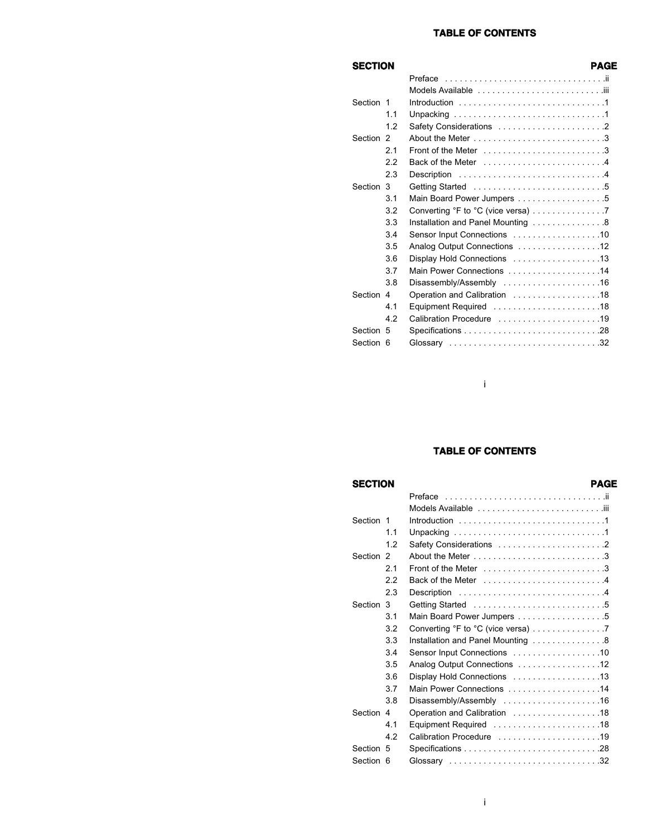### **TABLE OF CONTENTS**

### **SECTION PAGE**

| Section 1 |     |                                    |
|-----------|-----|------------------------------------|
|           | 1.1 |                                    |
|           | 1.2 |                                    |
| Section 2 |     |                                    |
|           | 2.1 |                                    |
|           | 2.2 |                                    |
|           | 2.3 | Description 4                      |
| Section 3 |     |                                    |
|           | 3.1 | Main Board Power Jumpers 5         |
|           | 3.2 | Converting °F to °C (vice versa) 7 |
|           | 3.3 | Installation and Panel Mounting 8  |
|           | 3.4 | Sensor Input Connections 10        |
|           | 3.5 | Analog Output Connections 12       |
|           | 3.6 | Display Hold Connections 13        |
|           | 3.7 | Main Power Connections 14          |
|           | 3.8 | Disassembly/Assembly 16            |
| Section 4 |     | Operation and Calibration 18       |
|           | 4.1 |                                    |
|           | 4.2 | Calibration Procedure 19           |
| Section 5 |     |                                    |
| Section 6 |     | Glossary 32                        |
|           |     |                                    |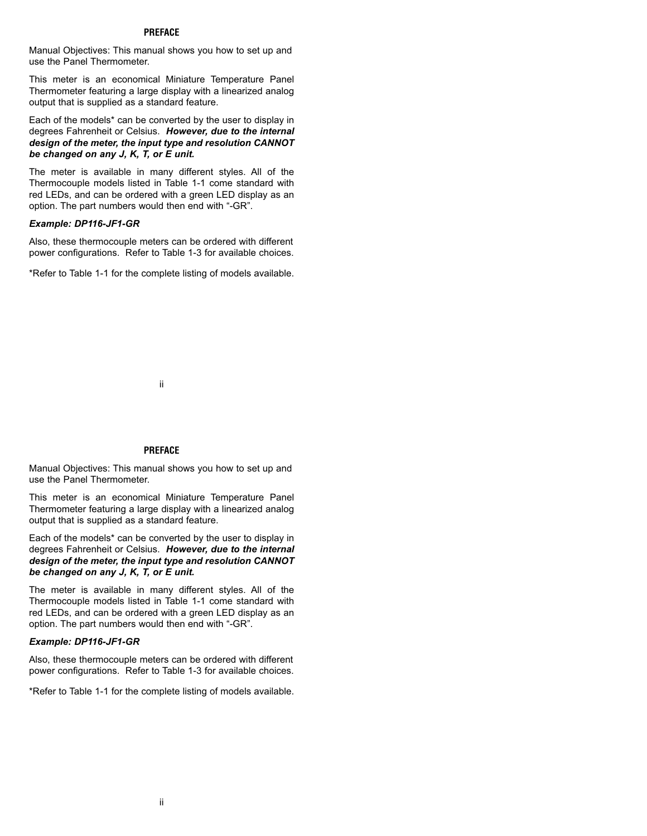### **PREFACE**

Manual Objectives: This manual shows you how to set up and use the Panel Thermometer.

This meter is an economical Miniature Temperature Panel Thermometer featuring a large display with a linearized analog output that is supplied as a standard feature.

Each of the models\* can be converted by the user to display in degrees Fahrenheit or Celsius. *However, due to the internal design of the meter, the input type and resolution CANNOT be changed on any J, K, T, or E unit.*

The meter is available in many different styles. All of the Thermocouple models listed in Table 1-1 come standard with red LEDs, and can be ordered with a green LED display as an option. The part numbers would then end with "-GR".

### *Example: DP116-JF1-GR*

Also, these thermocouple meters can be ordered with different power configurations. Refer to Table 1-3 for available choices.

\*Refer to Table 1-1 for the complete listing of models available.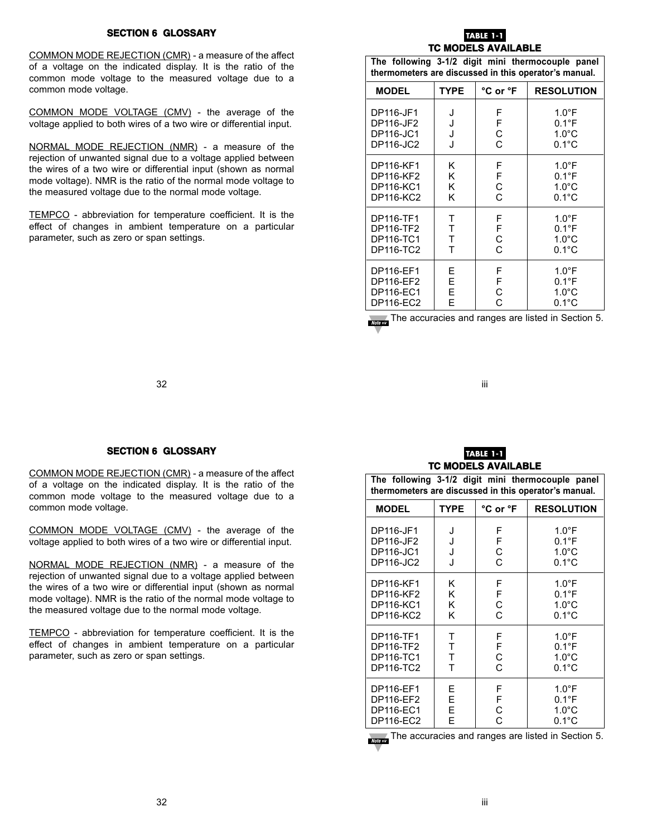### **SECTION 6 GLOSSARY**

COMMON MODE REJECTION (CMR) - a measure of the affect of a voltage on the indicated display. It is the ratio of the common mode voltage to the measured voltage due to a common mode voltage.

COMMON MODE VOLTAGE (CMV) - the average of the voltage applied to both wires of a two wire or differential input.

NORMAL MODE REJECTION (NMR) - a measure of the rejection of unwanted signal due to a voltage applied between the wires of a two wire or differential input (shown as normal mode voltage). NMR is the ratio of the normal mode voltage to the measured voltage due to the normal mode voltage.

TEMPCO - abbreviation for temperature coefficient. It is the effect of changes in ambient temperature on a particular parameter, such as zero or span settings.

### **TABLE 1-TC MODELS AVAILABLE**

| The following 3-1/2 digit mini thermocouple panel<br>thermometers are discussed in this operator's manual. |             |             |                   |  |
|------------------------------------------------------------------------------------------------------------|-------------|-------------|-------------------|--|
| <b>MODEL</b>                                                                                               | <b>TYPE</b> | °C or °F    | <b>RESOLUTION</b> |  |
| DP116-JF1                                                                                                  | J           | F           | $1.0^{\circ}$ F   |  |
| DP116-JF2                                                                                                  | J           | F           | $0.1^{\circ}$ F   |  |
| DP116-JC1                                                                                                  | J           | $\mathsf C$ | $1.0^{\circ}$ C   |  |
| DP116-JC2                                                                                                  | J           | Ċ           | $0.1^{\circ}$ C   |  |
| DP116-KF1                                                                                                  | Κ           | F           | $1.0^{\circ}$ F   |  |
| DP116-KF2                                                                                                  | Κ           | F           | $0.1^{\circ}$ F   |  |
| DP116-KC1                                                                                                  | K           | C           | $1.0^{\circ}$ C   |  |
| DP116-KC2                                                                                                  | K           | Ć           | $0.1^{\circ}$ C   |  |
| DP116-TF1                                                                                                  | т           | F           | $1.0^{\circ}$ F   |  |
| DP116-TF2                                                                                                  | T           | F           | $0.1^{\circ}$ F   |  |
| DP116-TC1                                                                                                  | Τ           | C           | $1.0^{\circ}$ C   |  |
| DP116-TC2                                                                                                  | T           | Ċ           | $0.1^{\circ}$ C   |  |
| DP116-EF1                                                                                                  | Е           | F           | $1.0^{\circ}$ F   |  |
| DP116-EF2                                                                                                  | E           | F           | $0.1^{\circ}$ F   |  |
| <b>DP116-EC1</b>                                                                                           | E           | C           | $1.0^{\circ}$ C   |  |
| <b>DP116-EC2</b>                                                                                           | F           | Ć           | $0.1^{\circ}$ C   |  |

The accuracies and ranges are listed in Section 5.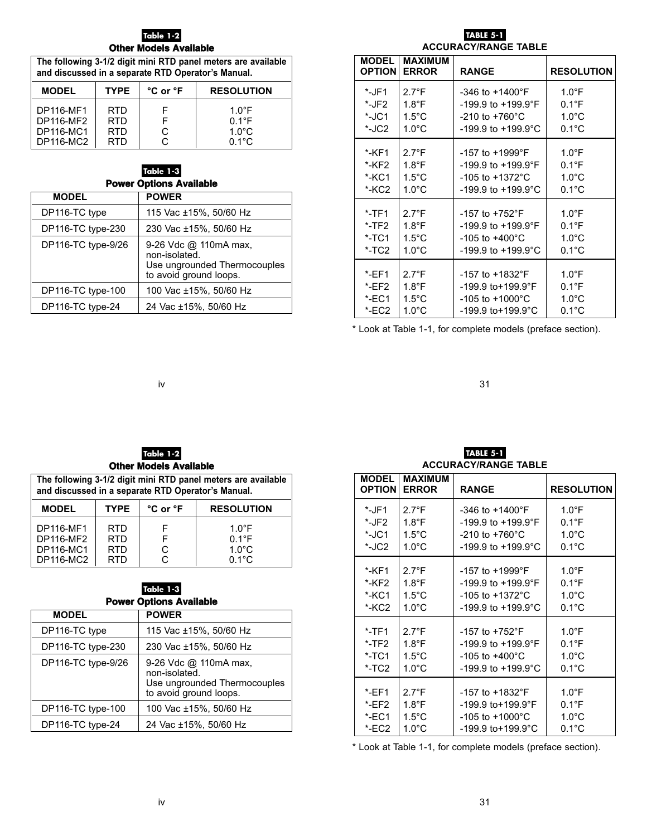### **Table 1-2 Other Models Available**

| The following 3-1/2 digit mini RTD panel meters are available<br>and discussed in a separate RTD Operator's Manual. |            |   |                 |  |
|---------------------------------------------------------------------------------------------------------------------|------------|---|-----------------|--|
| <b>TYPE</b><br>°C or °F<br><b>RESOLUTION</b><br><b>MODEL</b>                                                        |            |   |                 |  |
| <b>DP116-MF1</b>                                                                                                    | <b>RTD</b> | F | $1.0^{\circ}$ F |  |
| <b>DP116-MF2</b>                                                                                                    | <b>RTD</b> | F | $0.1^{\circ}$ F |  |
| <b>DP116-MC1</b>                                                                                                    | <b>RTD</b> | C | $1.0^{\circ}$ C |  |
| <b>DP116-MC2</b>                                                                                                    | RTD        | C | $0.1^{\circ}$ C |  |

### **Table 1-3 Power Options Available**

| <b>MODEL</b>       | <b>POWER</b>                                                                                     |  |  |  |
|--------------------|--------------------------------------------------------------------------------------------------|--|--|--|
| DP116-TC type      | 115 Vac ±15%, 50/60 Hz                                                                           |  |  |  |
| DP116-TC type-230  | 230 Vac ±15%, 50/60 Hz                                                                           |  |  |  |
| DP116-TC type-9/26 | 9-26 Vdc @ 110mA max,<br>non-isolated.<br>Use ungrounded Thermocouples<br>to avoid ground loops. |  |  |  |
| DP116-TC type-100  | 100 Vac ±15%, 50/60 Hz                                                                           |  |  |  |
| DP116-TC type-24   | 24 Vac ±15%, 50/60 Hz                                                                            |  |  |  |

### **TABLE 5-1**

**ACCURACY/RANGE TABLE**

| <b>MODEL</b><br><b>OPTION</b> | <b>MAXIMUM</b><br><b>ERROR</b> | <b>RANGE</b>                   | <b>RESOLUTION</b> |
|-------------------------------|--------------------------------|--------------------------------|-------------------|
| *-JF1                         | $2.7^{\circ}$ F                | $-346$ to $+1400$ °F           | $1.0^{\circ}$ F   |
| *-JF2                         | $1.8^{\circ}$ F                | -199.9 to +199.9°F             | $0.1^{\circ}$ F   |
| *-JC1                         | $1.5^{\circ}$ C                | $-210$ to $+760^{\circ}$ C     | $1.0^{\circ}$ C   |
| *-JC2                         | $1.0^{\circ}$ C                | -199.9 to +199.9°C             | $0.1^{\circ}$ C   |
| *-KF1                         | $2.7^{\circ}$ F                | -157 to +1999°F                | $1.0^{\circ}$ F   |
| *-KF2                         | $1.8^{\circ}$ F                | $-199.9$ to $+199.9$ °F        | $0.1^{\circ}$ F   |
| *-KC1                         | $1.5^{\circ}$ C                | $-105$ to $+1372^{\circ}$ C    | $1.0^{\circ}$ C   |
| *-KC2                         | $1.0^{\circ}$ C                | -199.9 to +199.9°C             | $0.1^{\circ}$ C   |
| $*$ -TF1                      | $2.7^{\circ}$ F                | $-157$ to $+752$ °F            | $1.0^{\circ}$ F   |
| $*$ -TF2                      | $1.8^{\circ}$ F                | -199.9 to +199.9°F             | $0.1^{\circ}$ F   |
| $*$ -TC1                      | $1.5^{\circ}$ C                | $-105$ to $+400^{\circ}$ C     | $1.0^{\circ}$ C   |
| $*$ -TC <sub>2</sub>          | $1.0^{\circ}$ C                | $-199.9$ to $+199.9^{\circ}$ C | $0.1^{\circ}$ C   |
|                               |                                |                                |                   |
| $*$ -EF1                      | $2.7^{\circ}F$                 | $-157$ to $+1832$ °F           | $1.0^{\circ}$ F   |
| EFT2                          | $1.8^{\circ}$ F                | $-199.9$ to + 199.9°F          | $0.1^{\circ}$ F   |
| $*$ -EC1                      | $1.5^{\circ}$ C                | $-105$ to $+1000^{\circ}$ C    | $1.0^{\circ}$ C   |
| *-EC2                         | $1.0^{\circ}$ C                | -199.9 to+199.9°C              | $0.1^{\circ}$ C   |

\* Look at Table 1-1, for complete models (preface section).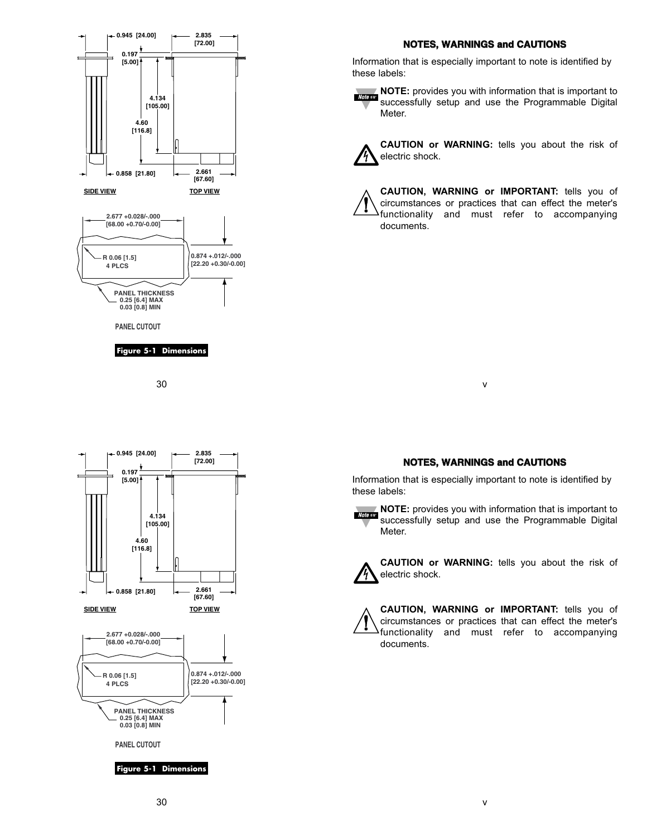

### **NOTES, WARNINGS and CAUTIONS**

Information that is especially important to note is identified by these labels:

**NOTE:** provides you with information that is important to **Note** as successfully setup and use the Programmable Digital Meter.



**CAUTION or WARNING:** tells you about the risk of electric shock.

**CAUTION, WARNING or IMPORTANT:** tells you of circumstances or practices that can effect the meter's functionality and must refer to accompanying documents.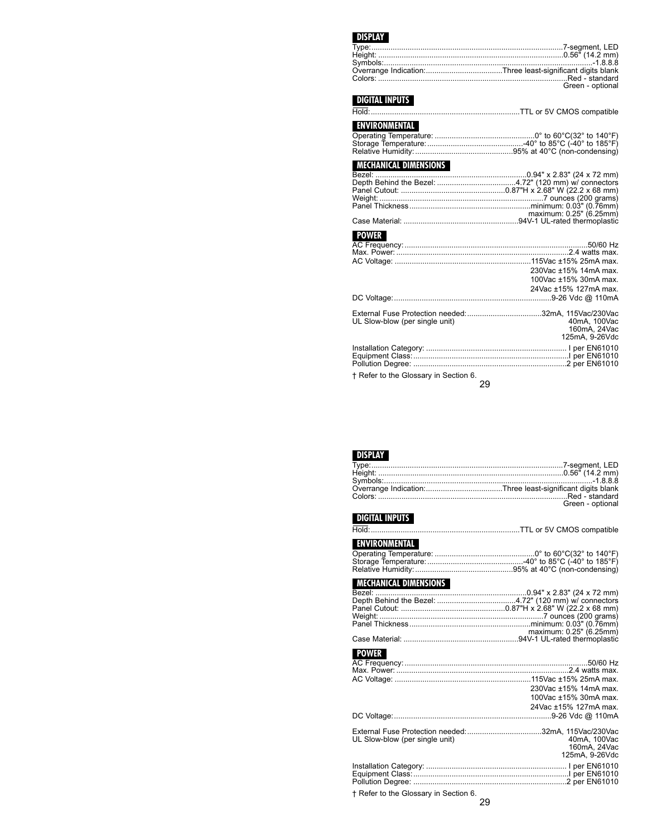### **DISPLAY**

| Green - optional |
|------------------|

### **DIGITAL INPUTS**

|--|--|--|--|--|--|

### **ENVIRONMENTAL**

### **MECHANICAL DIMENSIONS**

| maximum: 0.25" (6.25mm) |
|-------------------------|
|                         |

# **POWER**

|                                | 230Vac ±15% 14mA max.     |
|--------------------------------|---------------------------|
|                                | 100Vac ±15% 30mA max.     |
|                                | 24 Vac ± 15% 127 m A max. |
|                                |                           |
|                                |                           |
| UL Slow-blow (per single unit) | 40mA, 100Vac              |
|                                | 160mA, 24Vac              |
|                                | 125mA. 9-26Vdc            |
|                                |                           |
|                                |                           |

† Refer to the Glossary in Section 6.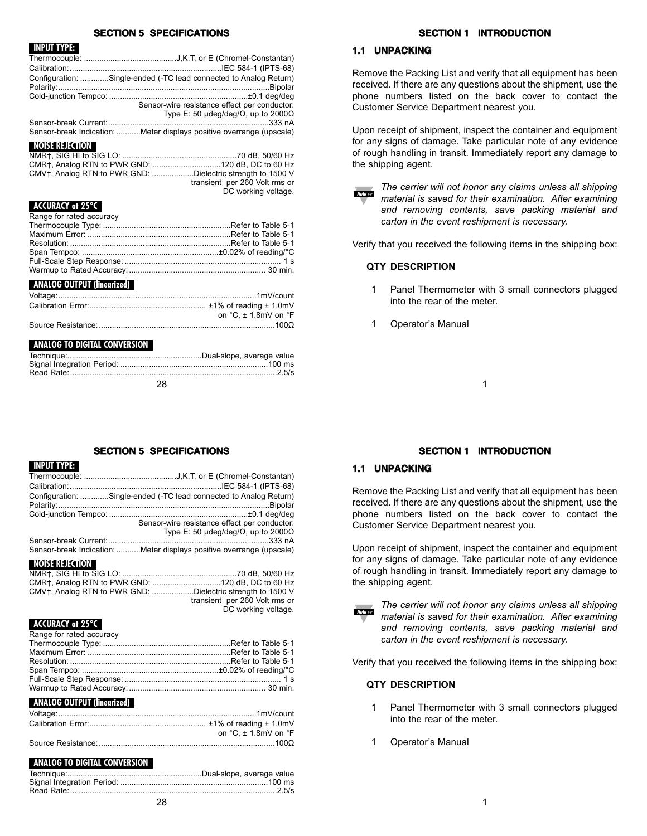### **SECTION 5 SPECIFICATIONS**

### **INPUT TYPE:**

| Configuration: Single-ended (-TC lead connected to Analog Return)    |
|----------------------------------------------------------------------|
|                                                                      |
| Sensor-wire resistance effect per conductor:                         |
| Type E: 50 $\mu$ deg/deg/ $\Omega$ , up to 2000 $\Omega$             |
|                                                                      |
| Sensor-break Indication: Meter displays positive overrange (upscale) |

### **NOISE REJECTION**

| CMV <sub>T</sub> , Analog RTN to PWR GND: Dielectric strength to 1500 V |
|-------------------------------------------------------------------------|
| transient per 260 Volt rms or                                           |
| DC working voltage.                                                     |

### **ACCURACY at 25°C**

Range for rated accuracy

### **ANALOG OUTPUT (linearized)**

| on $°C. \pm 1.8$ mV on $°F$ |
|-----------------------------|
|                             |

### **ANALOG TO DIGITAL CONVERSION**

# **SECTION 1 INTRODUCTION**

# **1.1 UNPACKING**

Remove the Packing List and verify that all equipment has been received. If there are any questions about the shipment, use the phone numbers listed on the back cover to contact the Customer Service Department nearest you.

Upon receipt of shipment, inspect the container and equipment for any signs of damage. Take particular note of any evidence of rough handling in transit. Immediately report any damage to the shipping agent.

*The carrier will not honor any claims unless all shipping material is saved for their examination. After examining and removing contents, save packing material and carton in the event reshipment is necessary.*

Verify that you received the following items in the shipping box:

### **QTY DESCRIPTION**

- 1 Panel Thermometer with 3 small connectors plugged into the rear of the meter.
- **Operator's Manual**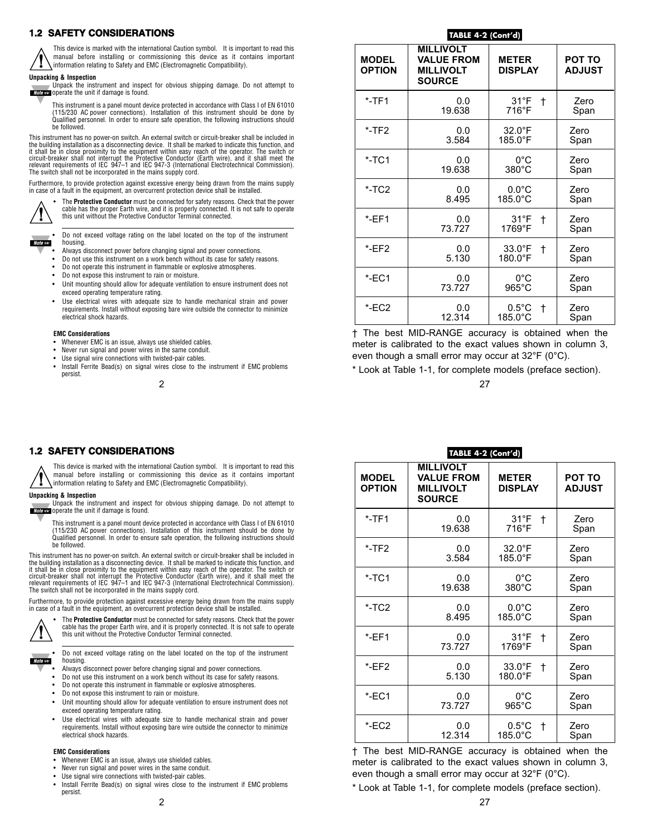### **1.2 SAFETY CONSIDERATIONS**



This device is marked with the international Caution symbol. It is important to read this manual before installing or commissioning this device as it contains important information relating to Safety and EMC (Electromagnetic Compatibility).

#### **Unpacking & Inspection**



Unpack the instrument and inspect for obvious shipping damage. Do not attempt to **Note as** operate the unit if damage is found.

This instrument is a panel mount device protected in accordance with Class I of EN 61010 (115/230 AC power connections). Installation of this instrument should be done by Qualified personnel. In order to ensure safe operation, the following instructions should be followed.

This instrument has no power-on switch. An external switch or circuit-breaker shall be included in the building installation as a disconnecting device. It shall be marked to indicate this function, and it shall be in close proximity to the equipment within easy reach of the operator. The switch or circuit-breaker shall not interrupt the Protective Conductor (Earth wire), and it shall meet the relevant requirements of IEC 947–1 and IEC 947-3 (International Electrotechnical Commission). The switch shall not be incorporated in the mains supply cord.

Furthermore, to provide protection against excessive energy being drawn from the mains supply in case of a fault in the equipment, an overcurrent protection device shall be installed.



• The **Protective Conductor** must be connected for safety reasons. Check that the power cable has the proper Earth wire, and it is properly connected. It is not safe to operate this unit without the Protective Conductor Terminal connected.



• Do not exceed voltage rating on the label located on the top of the instrument housing.

- Always disconnect power before changing signal and power connections.
- Do not use this instrument on a work bench without its case for safety reasons.
- Do not operate this instrument in flammable or explosive atmospheres.
- Do not expose this instrument to rain or moisture.
- Unit mounting should allow for adequate ventilation to ensure instrument does not exceed operating temperature rating.
- Use electrical wires with adequate size to handle mechanical strain and power requirements. Install without exposing bare wire outside the connector to minimize electrical shock hazards.

#### **EMC Considerations**

- Whenever EMC is an issue, always use shielded cables.
- Never run signal and power wires in the same conduit.
- Use signal wire connections with twisted-pair cables.
- Install Ferrite Bead(s) on signal wires close to the instrument if EMC problems persist.

### **TABLE 4-2 (Cont'd)**

| <b>MODEL</b><br><b>OPTION</b> | <b>MILLIVOLT</b><br><b>VALUE FROM</b><br><b>MILLIVOLT</b><br><b>SOURCE</b> | <b>METER</b><br><b>DISPLAY</b>         | <b>POT TO</b><br><b>ADJUST</b> |
|-------------------------------|----------------------------------------------------------------------------|----------------------------------------|--------------------------------|
| $*$ -TF1                      | 0.0<br>19.638                                                              | $31^{\circ}F$<br>$\mathsf{t}$<br>716°F | Zero<br>Span                   |
| $*$ -TF2                      | 0.0<br>3.584                                                               | $32.0^{\circ}$ F<br>185.0°F            | Zero<br>Span                   |
| $*$ -TC1                      | 0.0<br>19.638                                                              | $0^{\circ}$ C<br>$380^\circ C$         | Zero<br>Span                   |
| $*$ -TC2                      | 0.0<br>8.495                                                               | $0.0^{\circ}$ C<br>$185.0^{\circ}$ C   | Zero<br>Span                   |
| $*$ -EF1                      | 0.0<br>73.727                                                              | $31^{\circ}F$<br>t<br>1769°F           | Zero<br>Span                   |
| EFT2                          | 0.0<br>5.130                                                               | $33.0^{\circ}$ F<br>t<br>180.0°F       | Zero<br>Span                   |
| $*$ -EC1                      | 0.0<br>73.727                                                              | $0^{\circ}$ C<br>$965^{\circ}$ C       | Zero<br>Span                   |
| *-EC2                         | 0.0<br>12.314                                                              | $0.5^{\circ}$ C<br>t<br>185.0°C        | Zero<br>Span                   |

† The best MID-RANGE accuracy is obtained when the meter is calibrated to the exact values shown in column 3, even though a small error may occur at 32°F (0°C).

\* Look at Table 1-1, for complete models (preface section).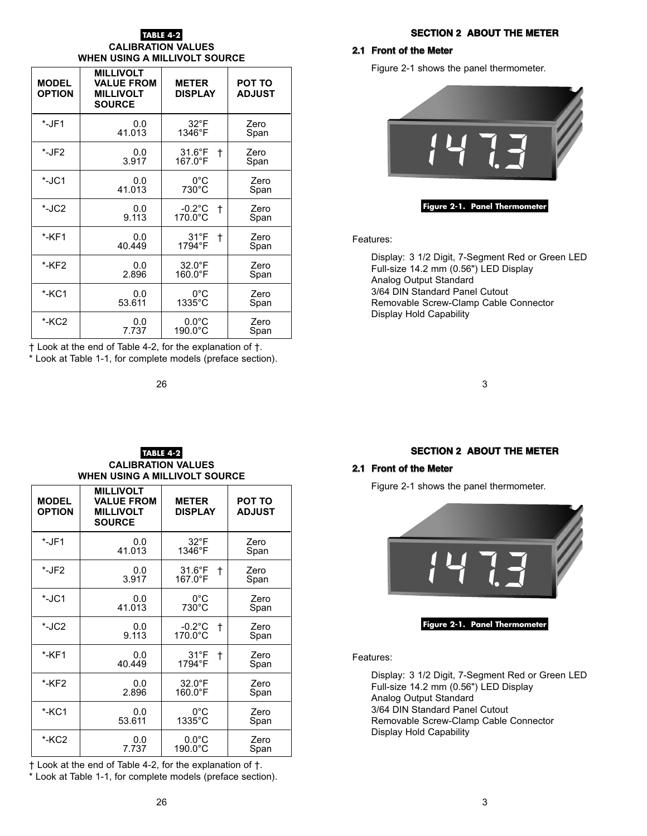### **TABLE 4-2**

### **CALIBRATION VALUES WHEN USING A MILLIVOLT SOURCE**

| <b>MODEL</b><br><b>OPTION</b> | <b>MILLIVOLT</b><br><b>VALUE FROM</b><br><b>MILLIVOLT</b><br><b>SOURCE</b> | <b>METER</b><br><b>DISPLAY</b>     | POT TO<br><b>ADJUST</b> |
|-------------------------------|----------------------------------------------------------------------------|------------------------------------|-------------------------|
| $*$ -JF1                      | 0.0                                                                        | $32^{\circ}$ F                     | Zero                    |
|                               | 41.013                                                                     | 1346°F                             | Span                    |
| $*$ -JF2                      | 0.0<br>3.917                                                               | $31.6^{\circ}F$<br>t<br>$167.0$ °F | Zero<br>Span            |
| *-JC1                         | 0.0                                                                        | $0^{\circ}$ C                      | Zero                    |
|                               | 41.013                                                                     | 730°C                              | Span                    |
| *-JC2                         | 0.0<br>9.113                                                               | $-0.2$ °C<br>$^\dagger$<br>170.0°C | Zero<br>Span            |
| *-KF1                         | 0.0<br>40.449                                                              | $31^{\circ}F$<br>t<br>1794°F       | Zero<br>Span            |
| *-KF2                         | 0.0                                                                        | $32.0^{\circ}$ F                   | Zero                    |
|                               | 2.896                                                                      | 160.0°F                            | Span                    |
| *-KC1                         | 0.0                                                                        | $0^{\circ}$ C                      | Zero                    |
|                               | 53.611                                                                     | $1335^{\circ}$ C                   | Span                    |
| *-KC2                         | 0.0                                                                        | $0.0^{\circ}$ C                    | Zero                    |
|                               | 7.737                                                                      | $190.0^{\circ}$ C                  | Span                    |

† Look at the end of Table 4-2, for the explanation of †.

\* Look at Table 1-1, for complete models (preface section).

### **SECTION 2 ABOUT THE METER**

### **2.1 Front of the Meter**

Figure 2-1 shows the panel thermometer.



### **Figure 2-1. Panel Thermometer**

Features:

Display: 3 1/2 Digit, 7-Segment Red or Green LED Full-size 14.2 mm (0.56") LED Display Analog Output Standard 3/64 DIN Standard Panel Cutout Removable Screw-Clamp Cable Connector Display Hold Capability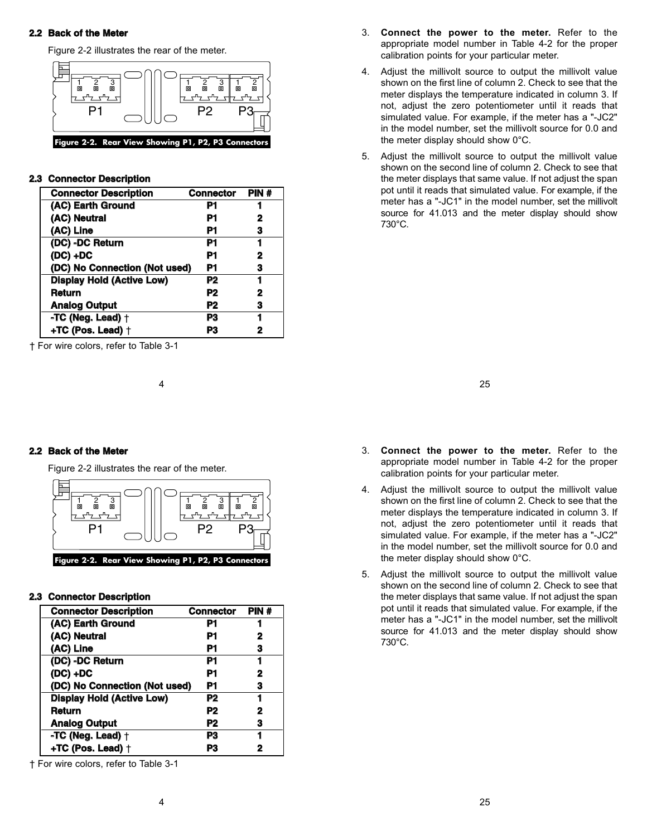### **2.2 Back of the Meter**

Figure 2-2 illustrates the rear of the meter.



### **2.3 Connector Description**

| <b>Connector Description</b>     | <b>Connector</b> | PIN # |
|----------------------------------|------------------|-------|
| (AC) Earth Ground                | P1               | 1     |
| (AC) Neutral                     | P1               | 2     |
| (AC) Line                        | P1               | з     |
| (DC) -DC Return                  | P1               | 1     |
| $(DC) + DC$                      | P1               | 2     |
| (DC) No Connection (Not used)    | P1               | з     |
| <b>Display Hold (Active Low)</b> | P2               | 1     |
| Return                           | P2               | 2     |
| <b>Analog Output</b>             | P2               | 3     |
| -TC (Neg. Lead) +                | P3               | 1     |
| +TC (Pos. Lead) $\dagger$        | P3               | 2     |

† For wire colors, refer to Table 3-1

- 3. **Connect the power to the meter.** Refer to the appropriate model number in Table 4-2 for the proper calibration points for your particular meter.
- 4. Adjust the millivolt source to output the millivolt value shown on the first line of column 2. Check to see that the meter displays the temperature indicated in column 3. If not, adjust the zero potentiometer until it reads that simulated value. For example, if the meter has a "-JC2" in the model number, set the millivolt source for 0.0 and the meter display should show 0°C.
- 5. Adjust the millivolt source to output the millivolt value shown on the second line of column 2. Check to see that the meter displays that same value. If not adjust the span pot until it reads that simulated value. For example, if the meter has a "-JC1" in the model number, set the millivolt source for 41.013 and the meter display should show 730°C.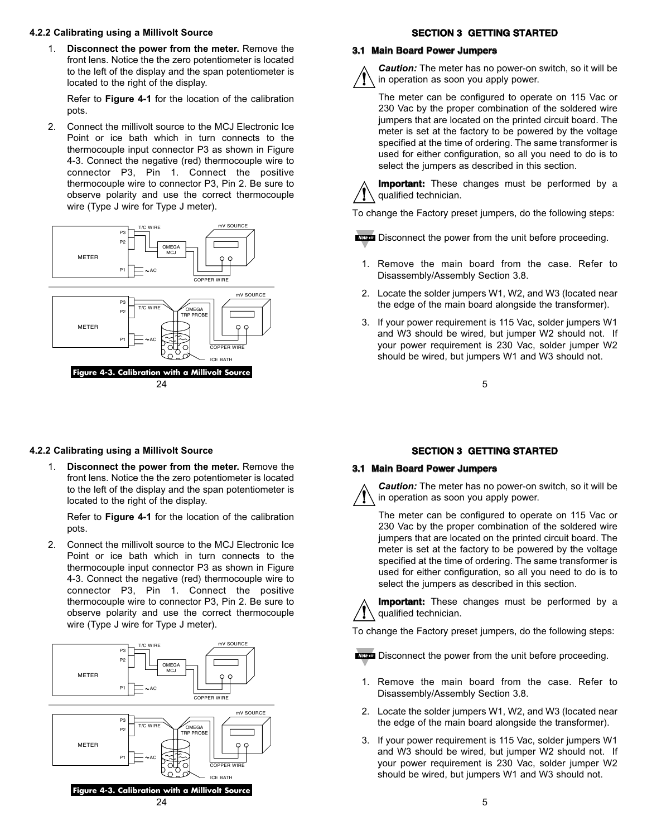### **4.2.2 Calibrating using a Millivolt Source**

1. **Disconnect the power from the meter.** Remove the front lens. Notice the the zero potentiometer is located to the left of the display and the span potentiometer is located to the right of the display.

Refer to **Figure 4-1** for the location of the calibration pots.

2. Connect the millivolt source to the MCJ Electronic Ice Point or ice bath which in turn connects to the thermocouple input connector P3 as shown in Figure 4-3. Connect the negative (red) thermocouple wire to connector P3, Pin 1. Connect the positive thermocouple wire to connector P3, Pin 2. Be sure to observe polarity and use the correct thermocouple wire (Type J wire for Type J meter).



# **SECTION 3 GETTING STARTED**

# **3.1 Main Board Power Jumpers**



*Caution:* The meter has no power-on switch, so it will be in operation as soon you apply power.

The meter can be configured to operate on 115 Vac or 230 Vac by the proper combination of the soldered wire jumpers that are located on the printed circuit board. The meter is set at the factory to be powered by the voltage specified at the time of ordering. The same transformer is used for either configuration, so all you need to do is to select the jumpers as described in this section.



**Important:** These changes must be performed by a qualified technician.

To change the Factory preset jumpers, do the following steps:



- 1. Remove the main board from the case. Refer to Disassembly/Assembly Section 3.8.
- 2. Locate the solder jumpers W1, W2, and W3 (located near the edge of the main board alongside the transformer).
- 3. If your power requirement is 115 Vac, solder jumpers W1 and W3 should be wired, but jumper W2 should not. If your power requirement is 230 Vac, solder jumper W2 should be wired, but jumpers W1 and W3 should not.

5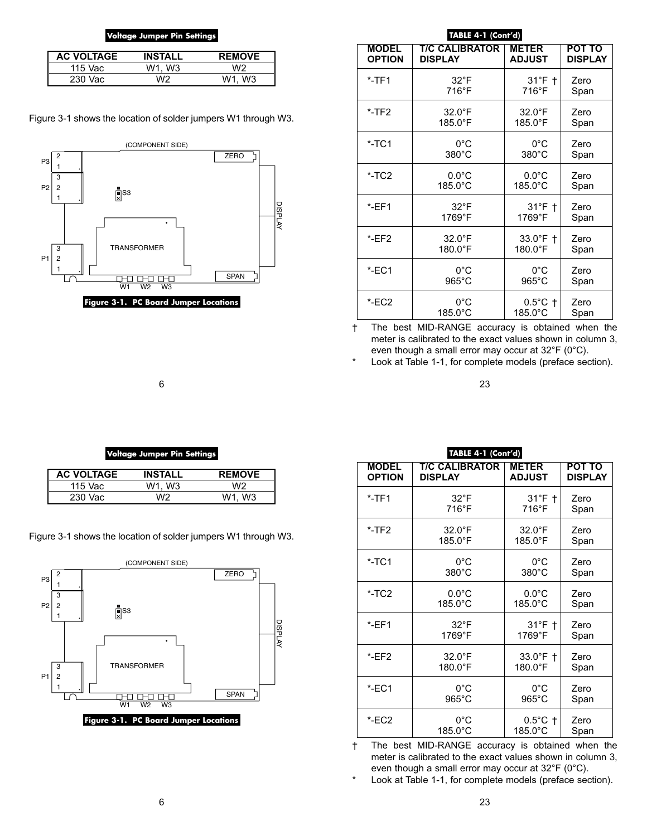### **Voltage Jumper Pin Settings**

| <b>AC VOLTAGE</b> | <b>INSTALL</b> | <b>REMOVE</b>         |
|-------------------|----------------|-----------------------|
| 115 Vac           | . W3<br>W1.    | いりつ                   |
| 230 Vac           | いいつ            | W <sub>3</sub><br>W1. |

Figure 3-1 shows the location of solder jumpers W1 through W3.



### **TABLE 4-1 (Cont'd)**

| <b>MODEL</b>  | <b>T/C CALIBRATOR</b> | <b>METER</b>      | <b>POT TO</b>  |
|---------------|-----------------------|-------------------|----------------|
| <b>OPTION</b> | <b>DISPLAY</b>        | <b>ADJUST</b>     | <b>DISPLAY</b> |
| $*$ -TF1      | $32^{\circ}$ F        | $31^\circ F$ †    | Zero           |
|               | 716°F                 | 716°F             | Span           |
| $*$ -TF2      | $32.0^{\circ}$ F      | $32.0^{\circ}$ F  | Zero           |
|               | 185.0°F               | 185.0°F           | Span           |
| $*$ -TC1      | 0°C                   | $0^{\circ}$ C     | Zero           |
|               | $380^{\circ}$ C       | $380^{\circ}$ C   | Span           |
| $*$ -TC2      | $0.0^{\circ}$ C       | $0.0^{\circ}$ C   | Zero           |
|               | $185.0^{\circ}$ C     | $185.0^{\circ}$ C | Span           |
| EFT           | $32^{\circ}$ F        | $31^\circ F$ †    | Zero           |
|               | 1769°F                | 1769°F            | Span           |
| EFT           | $32.0^{\circ}$ F      | 33.0°F +          | Zero           |
|               | $180.0$ °F            | 180.0°F           | Span           |
| $*$ -EC1      | $0^{\circ}$ C         | $0^{\circ}$ C     | Zero           |
|               | $965^{\circ}$ C       | $965^{\circ}$ C   | Span           |
| *-EC2         | $0^{\circ}$ C         | $0.5^{\circ}$ C + | Zero           |
|               | 185.0°C               | 185.0°C           | Span           |

† The best MID-RANGE accuracy is obtained when the meter is calibrated to the exact values shown in column 3, even though a small error may occur at 32°F (0°C).

\* Look at Table 1-1, for complete models (preface section).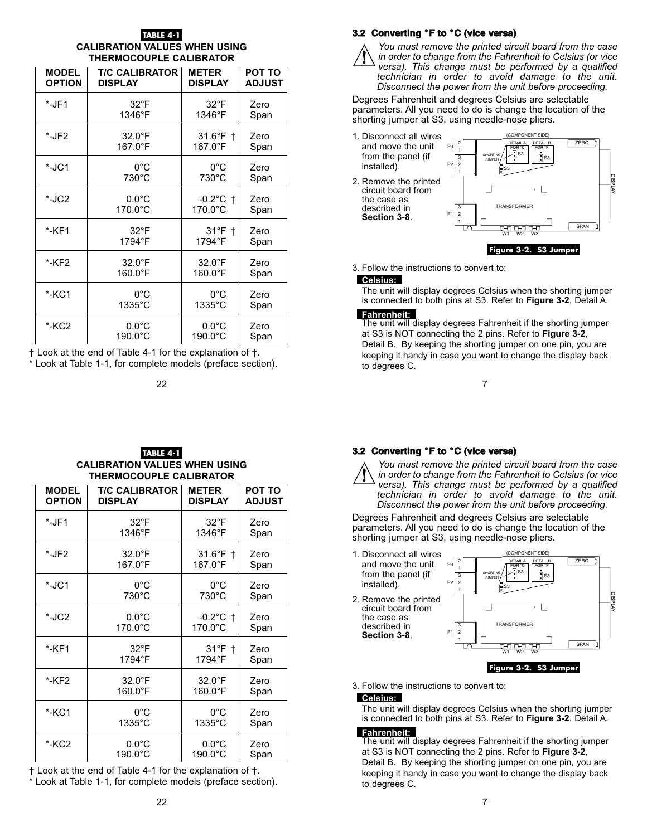### **TABLE 4-**

### **CALIBRATION VALUES WHEN USING THERMOCOUPLE CALIBRATOR**

| <b>MODEL</b>  | <b>T/C CALIBRATOR</b> | <b>METER</b>       | <b>POT TO</b> |
|---------------|-----------------------|--------------------|---------------|
| <b>OPTION</b> | <b>DISPLAY</b>        | <b>DISPLAY</b>     | <b>ADJUST</b> |
| $*$ -JF1      | $32^{\circ}F$         | $32^{\circ}$ F     | Zero          |
|               | 1346°F                | 1346°F             | Span          |
| *-JF2         | $32.0^{\circ}$ F      | $31.6^{\circ}$ F † | Zero          |
|               | 167.0°F               | 167.0°F            | Span          |
| $*$ -JC1      | $0^{\circ}$ C         | $0^{\circ}$ C      | Zero          |
|               | $730^{\circ}$ C       | $730^{\circ}$ C    | Span          |
| $*$ -JC2      | $0.0^{\circ}$ C       | $-0.2$ °C †        | Zero          |
|               | 170.0°C               | 170.0°C            | Span          |
| $*$ -KF1      | $32^{\circ}$ F        | $31^\circ F$ †     | Zero          |
|               | 1794°F                | 1794°F             | Span          |
| *-KF2         | $32.0^{\circ}$ F      | $32.0^{\circ}$ F   | Zero          |
|               | $160.0^{\circ}F$      | $160.0^{\circ}$ F  | Span          |
| $*$ -KC1      | $0^{\circ}$ C         | $0^{\circ}$ C      | Zero          |
|               | 1335°C                | $1335^{\circ}$ C   | Span          |
| *-KC2         | $0.0^{\circ}$ C       | $0.0^{\circ}$ C    | Zero          |
|               | $190.0^{\circ}$ C     | 190.0°C            | Span          |

† Look at the end of Table 4-1 for the explanation of †.

\* Look at Table 1-1, for complete models (preface section).

# **3.2 Converting** °**F to** °**C (vice versa)**



*You must remove the printed circuit board from the case in order to change from the Fahrenheit to Celsius (or vice versa). This change must be performed by a qualified technician in order to avoid damage to the unit. Disconnect the power from the unit before proceeding.*

Degrees Fahrenheit and degrees Celsius are selectable parameters. All you need to do is change the location of the shorting jumper at S3, using needle-nose pliers.



3. Follow the instructions to convert to:

### **Celsius:** .

The unit will display degrees Celsius when the shorting jumper is connected to both pins at S3. Refer to **Figure 3-2**, Detail A.

**Fahrenheit:** .<br>The unit will display degrees Fahrenheit if the shorting jumper at S3 is NOT connecting the 2 pins. Refer to **Figure 3-2**, Detail B. By keeping the shorting jumper on one pin, you are keeping it handy in case you want to change the display back to degrees C.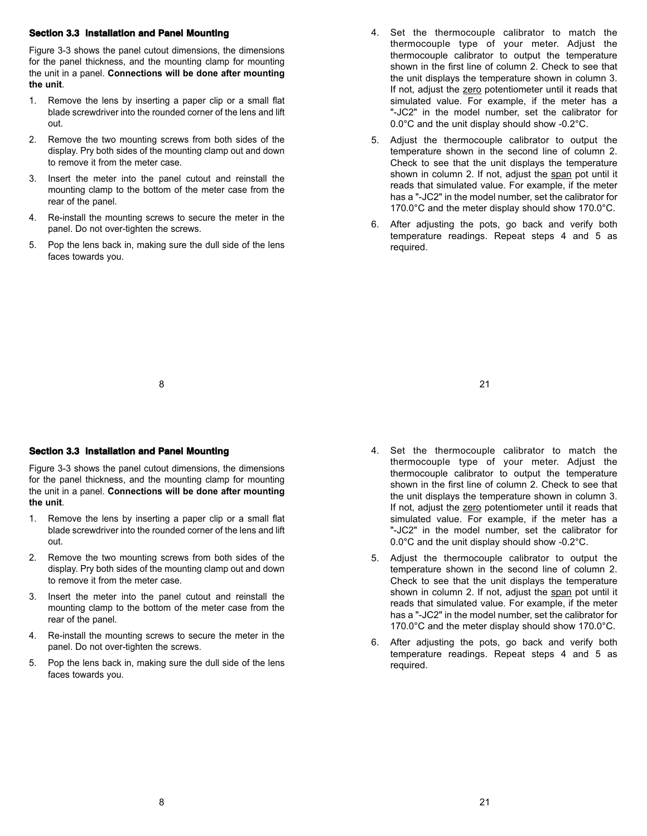### **Section 3.3 Installation and Panel Mounting**

Figure 3-3 shows the panel cutout dimensions, the dimensions for the panel thickness, and the mounting clamp for mounting the unit in a panel. **Connections will be done after mounting the unit**.

- 1. Remove the lens by inserting a paper clip or a small flat blade screwdriver into the rounded corner of the lens and lift out.
- 2. Remove the two mounting screws from both sides of the display. Pry both sides of the mounting clamp out and down to remove it from the meter case.
- 3. Insert the meter into the panel cutout and reinstall the mounting clamp to the bottom of the meter case from the rear of the panel.
- 4. Re-install the mounting screws to secure the meter in the panel. Do not over-tighten the screws.
- 5. Pop the lens back in, making sure the dull side of the lens faces towards you.
- 4. Set the thermocouple calibrator to match the thermocouple type of your meter. Adjust the thermocouple calibrator to output the temperature shown in the first line of column 2. Check to see that the unit displays the temperature shown in column 3. If not, adjust the zero potentiometer until it reads that simulated value. For example, if the meter has a "-JC2" in the model number, set the calibrator for 0.0°C and the unit display should show -0.2°C.
- 5. Adjust the thermocouple calibrator to output the temperature shown in the second line of column 2. Check to see that the unit displays the temperature shown in column 2. If not, adjust the span pot until it reads that simulated value. For example, if the meter has a "-JC2" in the model number, set the calibrator for 170.0°C and the meter display should show 170.0°C.
- 6. After adjusting the pots, go back and verify both temperature readings. Repeat steps 4 and 5 as required.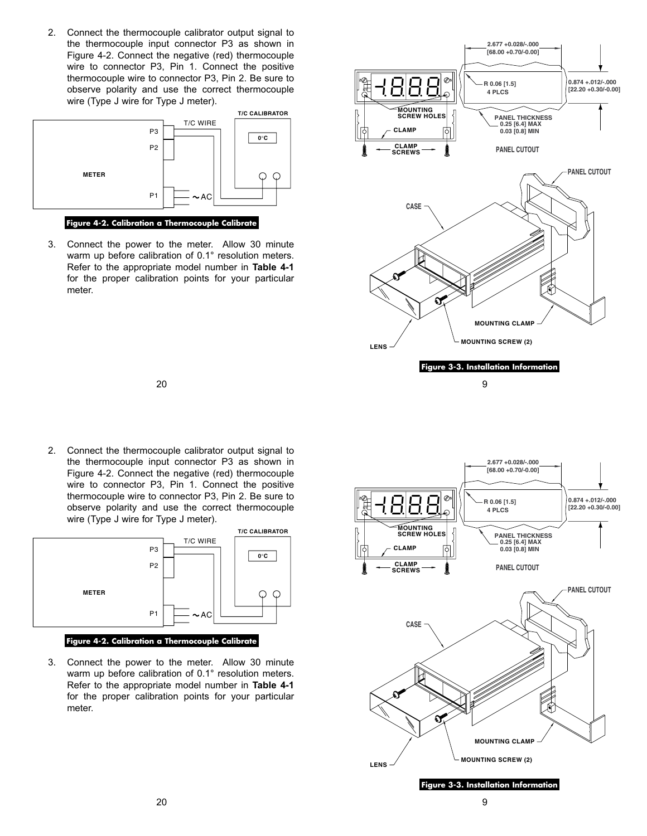2. Connect the thermocouple calibrator output signal to the thermocouple input connector P3 as shown in Figure 4-2. Connect the negative (red) thermocouple wire to connector P3, Pin 1. Connect the positive thermocouple wire to connector P3, Pin 2. Be sure to observe polarity and use the correct thermocouple wire (Type J wire for Type J meter).



### **Figure 4-2. Calibration a Thermocouple Calibrate**

3. Connect the power to the meter. Allow 30 minute warm up before calibration of 0.1° resolution meters. Refer to the appropriate model number in **Table 4-1** for the proper calibration points for your particular meter.

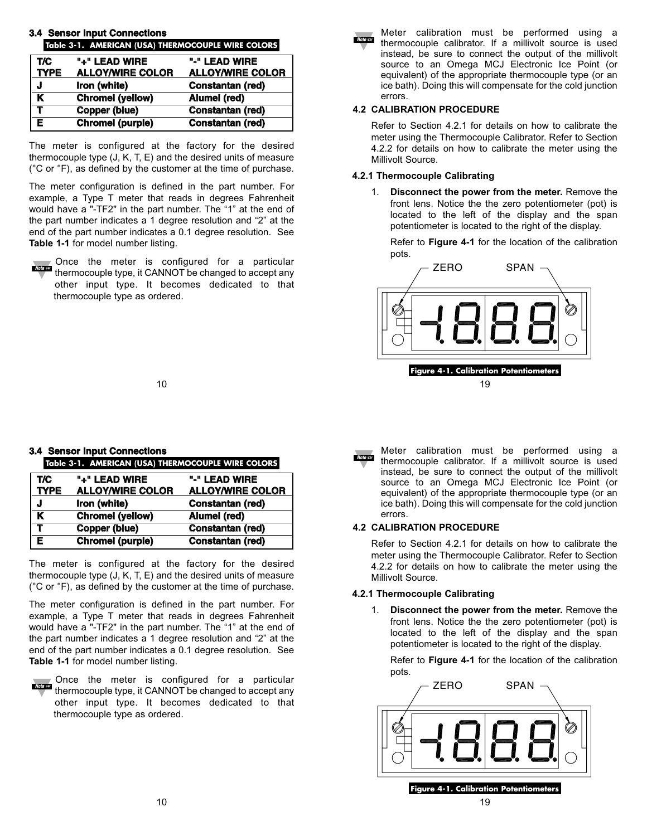| 3.4 Sensul mput Comiecuons<br>Table 3-1. AMERICAN (USA) THERMOCOUPLE WIRE COLORS |                         |                         |
|----------------------------------------------------------------------------------|-------------------------|-------------------------|
| T/C                                                                              | "+" LEAD WIRE           | "-" LEAD WIRE           |
| <b>TYPE</b>                                                                      | <b>ALLOY/WIRE COLOR</b> | <b>ALLOY/WIRE COLOR</b> |
| J                                                                                | Iron (white)            | Constantan (red)        |
| K                                                                                | <b>Chromel (yellow)</b> | Alumel (red)            |
| Т                                                                                | <b>Copper (blue)</b>    | Constantan (red)        |
| Е                                                                                | Chromel (purple)        | Constantan (red)        |

**3.4 Sensor Input Connections**

The meter is configured at the factory for the desired thermocouple type (J, K, T, E) and the desired units of measure (°C or °F), as defined by the customer at the time of purchase.

The meter configuration is defined in the part number. For example, a Type T meter that reads in degrees Fahrenheit would have a "-TF2" in the part number. The "1" at the end of the part number indicates a 1 degree resolution and "2" at the end of the part number indicates a 0.1 degree resolution. See **Table 1-1** for model number listing.

Once the meter is configured for a particular **Note** as thermocouple type, it CANNOT be changed to accept any other input type. It becomes dedicated to that thermocouple type as ordered.

Meter calibration must be performed using a **Note** car thermocouple calibrator. If a millivolt source is used instead, be sure to connect the output of the millivolt source to an Omega MCJ Electronic Ice Point (or equivalent) of the appropriate thermocouple type (or an ice bath). Doing this will compensate for the cold junction errors.

### **4.2 CALIBRATION PROCEDURE**

Refer to Section 4.2.1 for details on how to calibrate the meter using the Thermocouple Calibrator. Refer to Section 4.2.2 for details on how to calibrate the meter using the Millivolt Source.

### **4.2.1 Thermocouple Calibrating**

1. **Disconnect the power from the meter.** Remove the front lens. Notice the the zero potentiometer (pot) is located to the left of the display and the span potentiometer is located to the right of the display.

Refer to **Figure 4-1** for the location of the calibration pots.

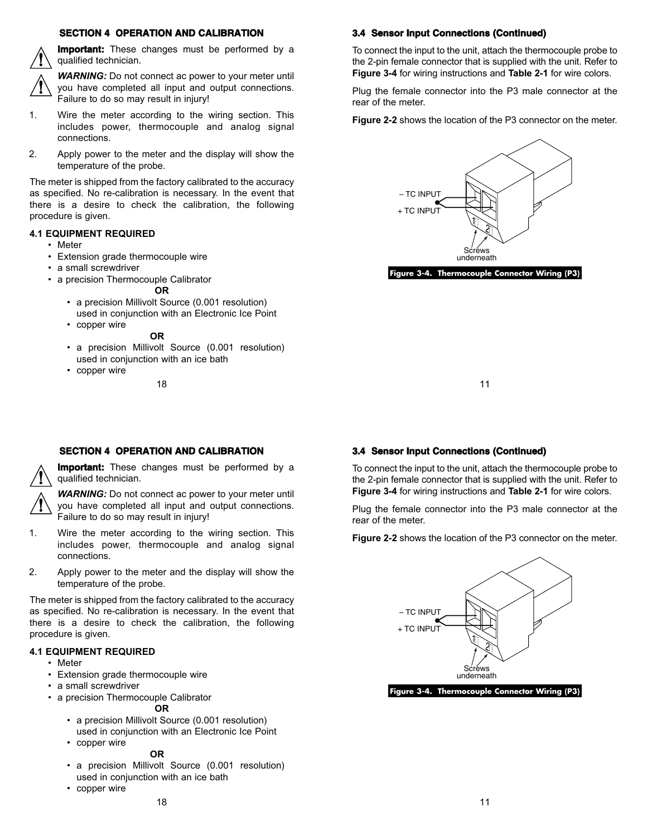### **SECTION 4 OPERATION AND CALIBRATION**

**Important:** These changes must be performed by a qualified technician.



**WARNING:** Do not connect ac power to your meter until you have completed all input and output connections. Failure to do so may result in injury!

- 1. Wire the meter according to the wiring section. This includes power, thermocouple and analog signal connections.
- 2. Apply power to the meter and the display will show the temperature of the probe.

The meter is shipped from the factory calibrated to the accuracy as specified. No re-calibration is necessary. In the event that there is a desire to check the calibration, the following procedure is given.

### **4.1 EQUIPMENT REQUIRED**

- Meter
- Extension grade thermocouple wire
- a small screwdriver
- a precision Thermocouple Calibrator

### **OR**

- a precision Millivolt Source (0.001 resolution) used in conjunction with an Electronic Ice Point
- copper wire

### **OR**

- a precision Millivolt Source (0.001 resolution) used in conjunction with an ice bath
- copper wire

### **3.4 Sensor Input Connections (Continued)**

To connect the input to the unit, attach the thermocouple probe to the 2-pin female connector that is supplied with the unit. Refer to **Figure 3-4** for wiring instructions and **Table 2-1** for wire colors.

Plug the female connector into the P3 male connector at the rear of the meter.

**Figure 2-2** shows the location of the P3 connector on the meter.



**Figure 3-4. Thermocouple Connector Wiring (P3)**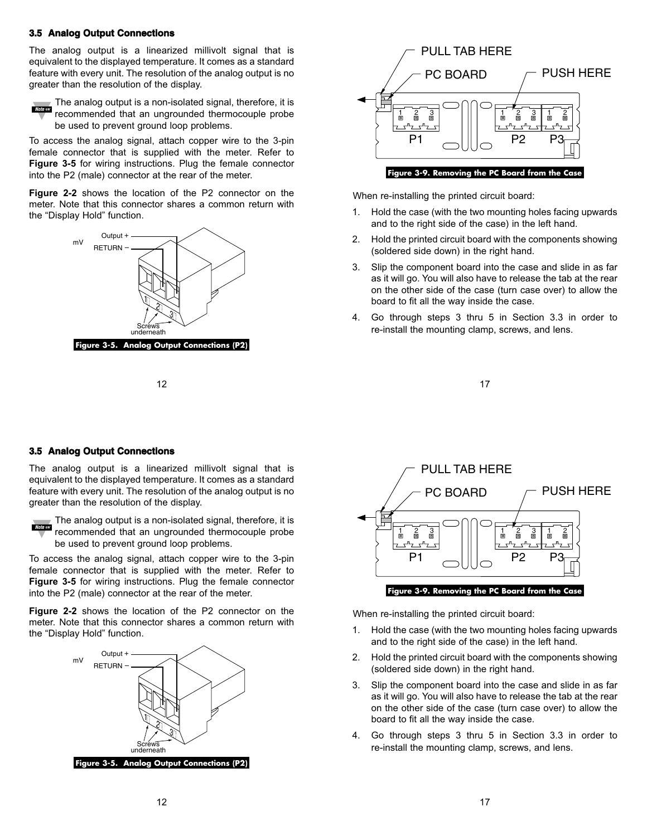### **3.5 Analog Output Connections**

The analog output is a linearized millivolt signal that is equivalent to the displayed temperature. It comes as a standard feature with every unit. The resolution of the analog output is no greater than the resolution of the display.



 $\blacksquare$  The analog output is a non-isolated signal, therefore, it is recommended that an ungrounded thermocouple probe be used to prevent ground loop problems.

To access the analog signal, attach copper wire to the 3-pin female connector that is supplied with the meter. Refer to **Figure 3-5** for wiring instructions. Plug the female connector into the P2 (male) connector at the rear of the meter.

**Figure 2-2** shows the location of the P2 connector on the meter. Note that this connector shares a common return with the "Display Hold" function.





When re-installing the printed circuit board:

- 1. Hold the case (with the two mounting holes facing upwards and to the right side of the case) in the left hand.
- 2. Hold the printed circuit board with the components showing (soldered side down) in the right hand.
- 3. Slip the component board into the case and slide in as far as it will go. You will also have to release the tab at the rear on the other side of the case (turn case over) to allow the board to fit all the way inside the case.
- 4. Go through steps 3 thru 5 in Section 3.3 in order to re-install the mounting clamp, screws, and lens.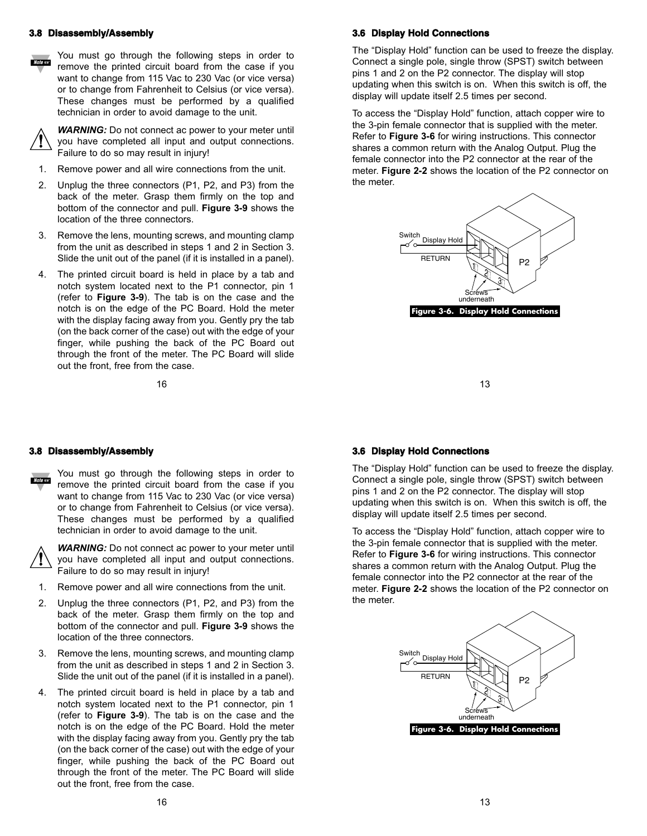### **3.8 Disassembly/Assembly**



You must go through the following steps in order to remove the printed circuit board from the case if you want to change from 115 Vac to 230 Vac (or vice versa) or to change from Fahrenheit to Celsius (or vice versa). These changes must be performed by a qualified technician in order to avoid damage to the unit.



*WARNING:* Do not connect ac power to your meter until you have completed all input and output connections. Failure to do so may result in injury!

- 1. Remove power and all wire connections from the unit.
- 2. Unplug the three connectors (P1, P2, and P3) from the back of the meter. Grasp them firmly on the top and bottom of the connector and pull. **Figure 3-9** shows the location of the three connectors.
- 3. Remove the lens, mounting screws, and mounting clamp from the unit as described in steps 1 and 2 in Section 3. Slide the unit out of the panel (if it is installed in a panel).
- 4. The printed circuit board is held in place by a tab and notch system located next to the P1 connector, pin 1 (refer to **Figure 3-9**). The tab is on the case and the notch is on the edge of the PC Board. Hold the meter with the display facing away from you. Gently pry the tab (on the back corner of the case) out with the edge of your finger, while pushing the back of the PC Board out through the front of the meter. The PC Board will slide out the front, free from the case.

### **3.6 Display Hold Connections**

The "Display Hold" function can be used to freeze the display. Connect a single pole, single throw (SPST) switch between pins 1 and 2 on the P2 connector. The display will stop updating when this switch is on. When this switch is off, the display will update itself 2.5 times per second.

To access the "Display Hold" function, attach copper wire to the 3-pin female connector that is supplied with the meter. Refer to **Figure 3-6** for wiring instructions. This connector shares a common return with the Analog Output. Plug the female connector into the P2 connector at the rear of the meter. **Figure 2-2** shows the location of the P2 connector on the meter.